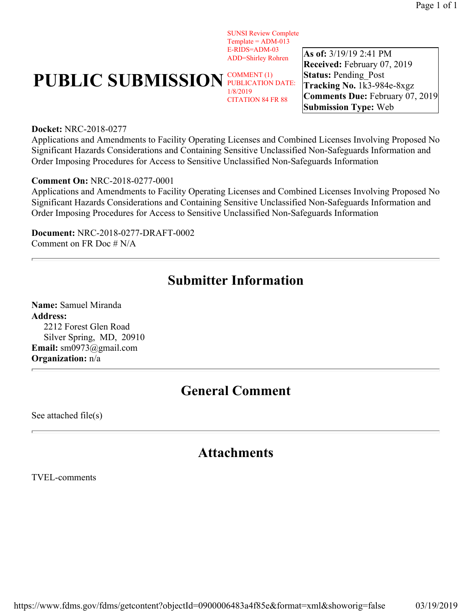SUNSI Review Complete  $Template = ADM-013$ E-RIDS=ADM-03 ADD=Shirley Rohren

# **PUBLIC SUBMISSION PUBLICATION**

PUBLICATION DATE: 1/8/2019 CITATION 84 FR 88

**As of:** 3/19/19 2:41 PM **Received:** February 07, 2019 **Status: Pending Post Tracking No.** 1k3-984e-8xgz **Comments Due:** February 07, 2019 **Submission Type:** Web

#### **Docket:** NRC-2018-0277

Applications and Amendments to Facility Operating Licenses and Combined Licenses Involving Proposed No Significant Hazards Considerations and Containing Sensitive Unclassified Non-Safeguards Information and Order Imposing Procedures for Access to Sensitive Unclassified Non-Safeguards Information

#### **Comment On:** NRC-2018-0277-0001

Applications and Amendments to Facility Operating Licenses and Combined Licenses Involving Proposed No Significant Hazards Considerations and Containing Sensitive Unclassified Non-Safeguards Information and Order Imposing Procedures for Access to Sensitive Unclassified Non-Safeguards Information

**Document:** NRC-2018-0277-DRAFT-0002 Comment on FR Doc # N/A

## **Submitter Information**

**Name:** Samuel Miranda **Address:**  2212 Forest Glen Road Silver Spring, MD, 20910 **Email:** sm0973@gmail.com **Organization:** n/a

## **General Comment**

See attached file(s)

### **Attachments**

TVEL-comments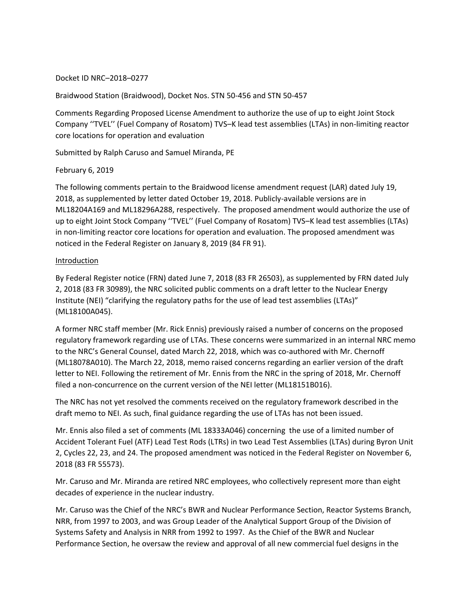#### Docket ID NRC–2018–0277

#### Braidwood Station (Braidwood), Docket Nos. STN 50-456 and STN 50-457

Comments Regarding Proposed License Amendment to authorize the use of up to eight Joint Stock Company ''TVEL'' (Fuel Company of Rosatom) TVS–K lead test assemblies (LTAs) in non-limiting reactor core locations for operation and evaluation

Submitted by Ralph Caruso and Samuel Miranda, PE

#### February 6, 2019

The following comments pertain to the Braidwood license amendment request (LAR) dated July 19, 2018, as supplemented by letter dated October 19, 2018. Publicly-available versions are in ML18204A169 and ML18296A288, respectively. The proposed amendment would authorize the use of up to eight Joint Stock Company ''TVEL'' (Fuel Company of Rosatom) TVS–K lead test assemblies (LTAs) in non-limiting reactor core locations for operation and evaluation. The proposed amendment was noticed in the Federal Register on January 8, 2019 (84 FR 91).

#### **Introduction**

By Federal Register notice (FRN) dated June 7, 2018 (83 FR 26503), as supplemented by FRN dated July 2, 2018 (83 FR 30989), the NRC solicited public comments on a draft letter to the Nuclear Energy Institute (NEI) "clarifying the regulatory paths for the use of lead test assemblies (LTAs)" (ML18100A045).

A former NRC staff member (Mr. Rick Ennis) previously raised a number of concerns on the proposed regulatory framework regarding use of LTAs. These concerns were summarized in an internal NRC memo to the NRC's General Counsel, dated March 22, 2018, which was co-authored with Mr. Chernoff (ML18078A010). The March 22, 2018, memo raised concerns regarding an earlier version of the draft letter to NEI. Following the retirement of Mr. Ennis from the NRC in the spring of 2018, Mr. Chernoff filed a non-concurrence on the current version of the NEI letter (ML18151B016).

The NRC has not yet resolved the comments received on the regulatory framework described in the draft memo to NEI. As such, final guidance regarding the use of LTAs has not been issued.

Mr. Ennis also filed a set of comments (ML 18333A046) concerning the use of a limited number of Accident Tolerant Fuel (ATF) Lead Test Rods (LTRs) in two Lead Test Assemblies (LTAs) during Byron Unit 2, Cycles 22, 23, and 24. The proposed amendment was noticed in the Federal Register on November 6, 2018 (83 FR 55573).

Mr. Caruso and Mr. Miranda are retired NRC employees, who collectively represent more than eight decades of experience in the nuclear industry.

Mr. Caruso was the Chief of the NRC's BWR and Nuclear Performance Section, Reactor Systems Branch, NRR, from 1997 to 2003, and was Group Leader of the Analytical Support Group of the Division of Systems Safety and Analysis in NRR from 1992 to 1997. As the Chief of the BWR and Nuclear Performance Section, he oversaw the review and approval of all new commercial fuel designs in the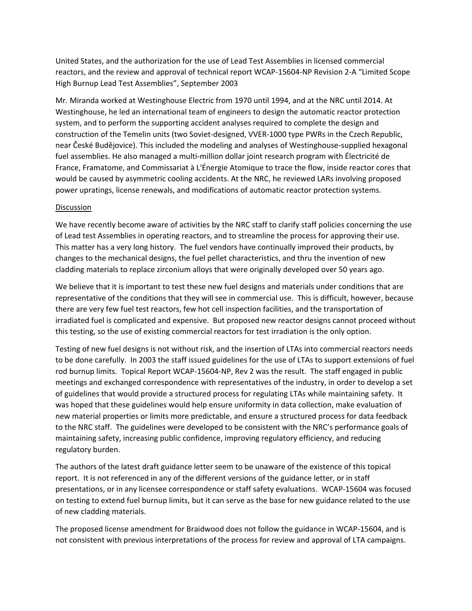United States, and the authorization for the use of Lead Test Assemblies in licensed commercial reactors, and the review and approval of technical report WCAP-15604-NP Revision 2-A "Limited Scope High Burnup Lead Test Assemblies", September 2003

Mr. Miranda worked at Westinghouse Electric from 1970 until 1994, and at the NRC until 2014. At Westinghouse, he led an international team of engineers to design the automatic reactor protection system, and to perform the supporting accident analyses required to complete the design and construction of the Temelin units (two Soviet-designed, VVER-1000 type PWRs in the Czech Republic, near České Budějovice). This included the modeling and analyses of Westinghouse-supplied hexagonal fuel assemblies. He also managed a multi-million dollar joint research program with Électricité de France, Framatome, and Commissariat à L'Énergie Atomique to trace the flow, inside reactor cores that would be caused by asymmetric cooling accidents. At the NRC, he reviewed LARs involving proposed power upratings, license renewals, and modifications of automatic reactor protection systems.

#### Discussion

We have recently become aware of activities by the NRC staff to clarify staff policies concerning the use of Lead test Assemblies in operating reactors, and to streamline the process for approving their use. This matter has a very long history. The fuel vendors have continually improved their products, by changes to the mechanical designs, the fuel pellet characteristics, and thru the invention of new cladding materials to replace zirconium alloys that were originally developed over 50 years ago.

We believe that it is important to test these new fuel designs and materials under conditions that are representative of the conditions that they will see in commercial use. This is difficult, however, because there are very few fuel test reactors, few hot cell inspection facilities, and the transportation of irradiated fuel is complicated and expensive. But proposed new reactor designs cannot proceed without this testing, so the use of existing commercial reactors for test irradiation is the only option.

Testing of new fuel designs is not without risk, and the insertion of LTAs into commercial reactors needs to be done carefully. In 2003 the staff issued guidelines for the use of LTAs to support extensions of fuel rod burnup limits. Topical Report WCAP-15604-NP, Rev 2 was the result. The staff engaged in public meetings and exchanged correspondence with representatives of the industry, in order to develop a set of guidelines that would provide a structured process for regulating LTAs while maintaining safety. It was hoped that these guidelines would help ensure uniformity in data collection, make evaluation of new material properties or limits more predictable, and ensure a structured process for data feedback to the NRC staff. The guidelines were developed to be consistent with the NRC's performance goals of maintaining safety, increasing public confidence, improving regulatory efficiency, and reducing regulatory burden.

The authors of the latest draft guidance letter seem to be unaware of the existence of this topical report. It is not referenced in any of the different versions of the guidance letter, or in staff presentations, or in any licensee correspondence or staff safety evaluations. WCAP-15604 was focused on testing to extend fuel burnup limits, but it can serve as the base for new guidance related to the use of new cladding materials.

The proposed license amendment for Braidwood does not follow the guidance in WCAP-15604, and is not consistent with previous interpretations of the process for review and approval of LTA campaigns.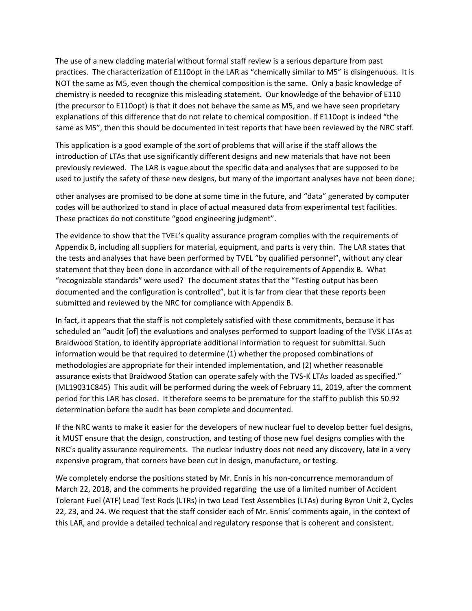The use of a new cladding material without formal staff review is a serious departure from past practices. The characterization of E110opt in the LAR as "chemically similar to M5" is disingenuous. It is NOT the same as M5, even though the chemical composition is the same. Only a basic knowledge of chemistry is needed to recognize this misleading statement. Our knowledge of the behavior of E110 (the precursor to E110opt) is that it does not behave the same as M5, and we have seen proprietary explanations of this difference that do not relate to chemical composition. If E110opt is indeed "the same as M5", then this should be documented in test reports that have been reviewed by the NRC staff.

This application is a good example of the sort of problems that will arise if the staff allows the introduction of LTAs that use significantly different designs and new materials that have not been previously reviewed. The LAR is vague about the specific data and analyses that are supposed to be used to justify the safety of these new designs, but many of the important analyses have not been done;

other analyses are promised to be done at some time in the future, and "data" generated by computer codes will be authorized to stand in place of actual measured data from experimental test facilities. These practices do not constitute "good engineering judgment".

The evidence to show that the TVEL's quality assurance program complies with the requirements of Appendix B, including all suppliers for material, equipment, and parts is very thin. The LAR states that the tests and analyses that have been performed by TVEL "by qualified personnel", without any clear statement that they been done in accordance with all of the requirements of Appendix B. What "recognizable standards" were used? The document states that the "Testing output has been documented and the configuration is controlled", but it is far from clear that these reports been submitted and reviewed by the NRC for compliance with Appendix B.

In fact, it appears that the staff is not completely satisfied with these commitments, because it has scheduled an "audit [of] the evaluations and analyses performed to support loading of the TVSK LTAs at Braidwood Station, to identify appropriate additional information to request for submittal. Such information would be that required to determine (1) whether the proposed combinations of methodologies are appropriate for their intended implementation, and (2) whether reasonable assurance exists that Braidwood Station can operate safely with the TVS-K LTAs loaded as specified." (ML19031C845) This audit will be performed during the week of February 11, 2019, after the comment period for this LAR has closed. It therefore seems to be premature for the staff to publish this 50.92 determination before the audit has been complete and documented.

If the NRC wants to make it easier for the developers of new nuclear fuel to develop better fuel designs, it MUST ensure that the design, construction, and testing of those new fuel designs complies with the NRC's quality assurance requirements. The nuclear industry does not need any discovery, late in a very expensive program, that corners have been cut in design, manufacture, or testing.

We completely endorse the positions stated by Mr. Ennis in his non-concurrence memorandum of March 22, 2018, and the comments he provided regarding the use of a limited number of Accident Tolerant Fuel (ATF) Lead Test Rods (LTRs) in two Lead Test Assemblies (LTAs) during Byron Unit 2, Cycles 22, 23, and 24. We request that the staff consider each of Mr. Ennis' comments again, in the context of this LAR, and provide a detailed technical and regulatory response that is coherent and consistent.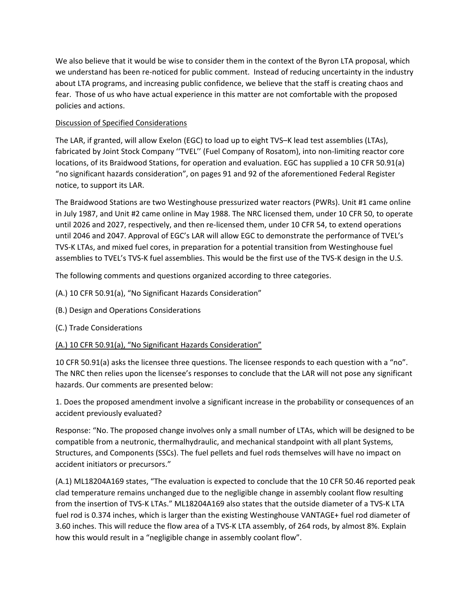We also believe that it would be wise to consider them in the context of the Byron LTA proposal, which we understand has been re-noticed for public comment. Instead of reducing uncertainty in the industry about LTA programs, and increasing public confidence, we believe that the staff is creating chaos and fear. Those of us who have actual experience in this matter are not comfortable with the proposed policies and actions.

#### Discussion of Specified Considerations

The LAR, if granted, will allow Exelon (EGC) to load up to eight TVS–K lead test assemblies (LTAs), fabricated by Joint Stock Company ''TVEL'' (Fuel Company of Rosatom), into non-limiting reactor core locations, of its Braidwood Stations, for operation and evaluation. EGC has supplied a 10 CFR 50.91(a) "no significant hazards consideration", on pages 91 and 92 of the aforementioned Federal Register notice, to support its LAR.

The Braidwood Stations are two Westinghouse pressurized water reactors (PWRs). Unit #1 came online in July 1987, and Unit #2 came online in May 1988. The NRC licensed them, under 10 CFR 50, to operate until 2026 and 2027, respectively, and then re-licensed them, under 10 CFR 54, to extend operations until 2046 and 2047. Approval of EGC's LAR will allow EGC to demonstrate the performance of TVEL's TVS-K LTAs, and mixed fuel cores, in preparation for a potential transition from Westinghouse fuel assemblies to TVEL's TVS-K fuel assemblies. This would be the first use of the TVS-K design in the U.S.

The following comments and questions organized according to three categories.

- (A.) 10 CFR 50.91(a), "No Significant Hazards Consideration"
- (B.) Design and Operations Considerations
- (C.) Trade Considerations

#### (A.) 10 CFR 50.91(a), "No Significant Hazards Consideration"

10 CFR 50.91(a) asks the licensee three questions. The licensee responds to each question with a "no". The NRC then relies upon the licensee's responses to conclude that the LAR will not pose any significant hazards. Our comments are presented below:

1. Does the proposed amendment involve a significant increase in the probability or consequences of an accident previously evaluated?

Response: "No. The proposed change involves only a small number of LTAs, which will be designed to be compatible from a neutronic, thermalhydraulic, and mechanical standpoint with all plant Systems, Structures, and Components (SSCs). The fuel pellets and fuel rods themselves will have no impact on accident initiators or precursors."

(A.1) ML18204A169 states, "The evaluation is expected to conclude that the 10 CFR 50.46 reported peak clad temperature remains unchanged due to the negligible change in assembly coolant flow resulting from the insertion of TVS-K LTAs." ML18204A169 also states that the outside diameter of a TVS-K LTA fuel rod is 0.374 inches, which is larger than the existing Westinghouse VANTAGE+ fuel rod diameter of 3.60 inches. This will reduce the flow area of a TVS-K LTA assembly, of 264 rods, by almost 8%. Explain how this would result in a "negligible change in assembly coolant flow".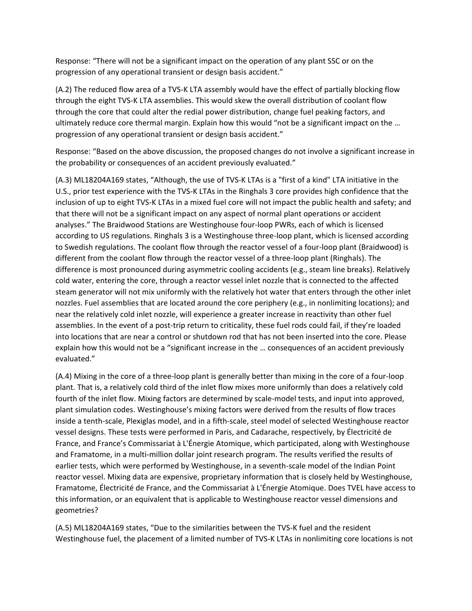Response: "There will not be a significant impact on the operation of any plant SSC or on the progression of any operational transient or design basis accident."

(A.2) The reduced flow area of a TVS-K LTA assembly would have the effect of partially blocking flow through the eight TVS-K LTA assemblies. This would skew the overall distribution of coolant flow through the core that could alter the redial power distribution, change fuel peaking factors, and ultimately reduce core thermal margin. Explain how this would "not be a significant impact on the … progression of any operational transient or design basis accident."

Response: "Based on the above discussion, the proposed changes do not involve a significant increase in the probability or consequences of an accident previously evaluated."

(A.3) ML18204A169 states, "Although, the use of TVS-K LTAs is a "first of a kind" LTA initiative in the U.S., prior test experience with the TVS-K LTAs in the Ringhals 3 core provides high confidence that the inclusion of up to eight TVS-K LTAs in a mixed fuel core will not impact the public health and safety; and that there will not be a significant impact on any aspect of normal plant operations or accident analyses." The Braidwood Stations are Westinghouse four-loop PWRs, each of which is licensed according to US regulations. Ringhals 3 is a Westinghouse three-loop plant, which is licensed according to Swedish regulations. The coolant flow through the reactor vessel of a four-loop plant (Braidwood) is different from the coolant flow through the reactor vessel of a three-loop plant (Ringhals). The difference is most pronounced during asymmetric cooling accidents (e.g., steam line breaks). Relatively cold water, entering the core, through a reactor vessel inlet nozzle that is connected to the affected steam generator will not mix uniformly with the relatively hot water that enters through the other inlet nozzles. Fuel assemblies that are located around the core periphery (e.g., in nonlimiting locations); and near the relatively cold inlet nozzle, will experience a greater increase in reactivity than other fuel assemblies. In the event of a post-trip return to criticality, these fuel rods could fail, if they're loaded into locations that are near a control or shutdown rod that has not been inserted into the core. Please explain how this would not be a "significant increase in the … consequences of an accident previously evaluated."

(A.4) Mixing in the core of a three-loop plant is generally better than mixing in the core of a four-loop plant. That is, a relatively cold third of the inlet flow mixes more uniformly than does a relatively cold fourth of the inlet flow. Mixing factors are determined by scale-model tests, and input into approved, plant simulation codes. Westinghouse's mixing factors were derived from the results of flow traces inside a tenth-scale, Plexiglas model, and in a fifth-scale, steel model of selected Westinghouse reactor vessel designs. These tests were performed in Paris, and Cadarache, respectively, by Électricité de France, and France's Commissariat à L'Énergie Atomique, which participated, along with Westinghouse and Framatome, in a multi-million dollar joint research program. The results verified the results of earlier tests, which were performed by Westinghouse, in a seventh-scale model of the Indian Point reactor vessel. Mixing data are expensive, proprietary information that is closely held by Westinghouse, Framatome, Électricité de France, and the Commissariat à L'Énergie Atomique. Does TVEL have access to this information, or an equivalent that is applicable to Westinghouse reactor vessel dimensions and geometries?

(A.5) ML18204A169 states, "Due to the similarities between the TVS-K fuel and the resident Westinghouse fuel, the placement of a limited number of TVS-K LTAs in nonlimiting core locations is not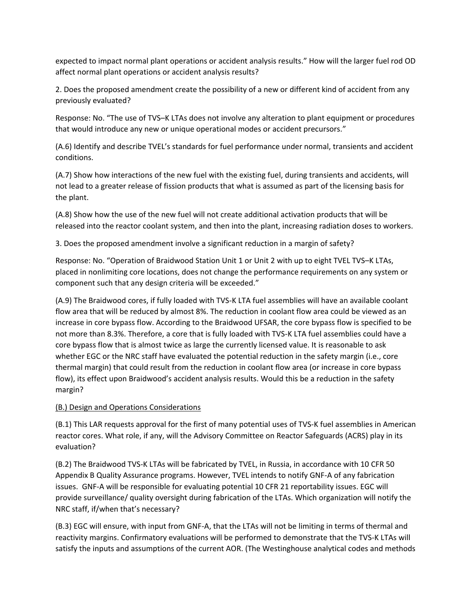expected to impact normal plant operations or accident analysis results." How will the larger fuel rod OD affect normal plant operations or accident analysis results?

2. Does the proposed amendment create the possibility of a new or different kind of accident from any previously evaluated?

Response: No. "The use of TVS–K LTAs does not involve any alteration to plant equipment or procedures that would introduce any new or unique operational modes or accident precursors."

(A.6) Identify and describe TVEL's standards for fuel performance under normal, transients and accident conditions.

(A.7) Show how interactions of the new fuel with the existing fuel, during transients and accidents, will not lead to a greater release of fission products that what is assumed as part of the licensing basis for the plant.

(A.8) Show how the use of the new fuel will not create additional activation products that will be released into the reactor coolant system, and then into the plant, increasing radiation doses to workers.

3. Does the proposed amendment involve a significant reduction in a margin of safety?

Response: No. "Operation of Braidwood Station Unit 1 or Unit 2 with up to eight TVEL TVS–K LTAs, placed in nonlimiting core locations, does not change the performance requirements on any system or component such that any design criteria will be exceeded."

(A.9) The Braidwood cores, if fully loaded with TVS-K LTA fuel assemblies will have an available coolant flow area that will be reduced by almost 8%. The reduction in coolant flow area could be viewed as an increase in core bypass flow. According to the Braidwood UFSAR, the core bypass flow is specified to be not more than 8.3%. Therefore, a core that is fully loaded with TVS-K LTA fuel assemblies could have a core bypass flow that is almost twice as large the currently licensed value. It is reasonable to ask whether EGC or the NRC staff have evaluated the potential reduction in the safety margin (i.e., core thermal margin) that could result from the reduction in coolant flow area (or increase in core bypass flow), its effect upon Braidwood's accident analysis results. Would this be a reduction in the safety margin?

#### (B.) Design and Operations Considerations

(B.1) This LAR requests approval for the first of many potential uses of TVS-K fuel assemblies in American reactor cores. What role, if any, will the Advisory Committee on Reactor Safeguards (ACRS) play in its evaluation?

(B.2) The Braidwood TVS-K LTAs will be fabricated by TVEL, in Russia, in accordance with 10 CFR 50 Appendix B Quality Assurance programs. However, TVEL intends to notify GNF-A of any fabrication issues. GNF-A will be responsible for evaluating potential 10 CFR 21 reportability issues. EGC will provide surveillance/ quality oversight during fabrication of the LTAs. Which organization will notify the NRC staff, if/when that's necessary?

(B.3) EGC will ensure, with input from GNF-A, that the LTAs will not be limiting in terms of thermal and reactivity margins. Confirmatory evaluations will be performed to demonstrate that the TVS-K LTAs will satisfy the inputs and assumptions of the current AOR. (The Westinghouse analytical codes and methods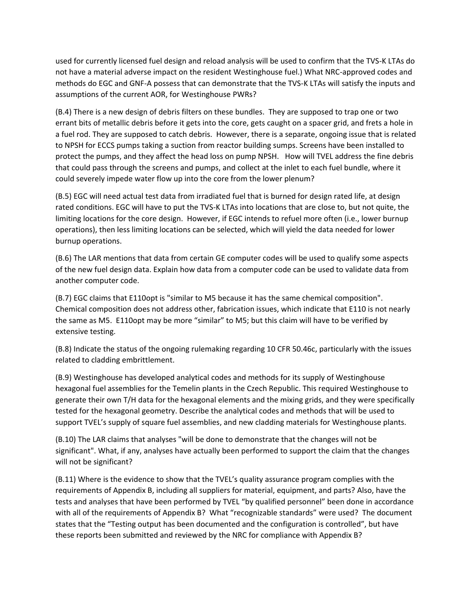used for currently licensed fuel design and reload analysis will be used to confirm that the TVS-K LTAs do not have a material adverse impact on the resident Westinghouse fuel.) What NRC-approved codes and methods do EGC and GNF-A possess that can demonstrate that the TVS-K LTAs will satisfy the inputs and assumptions of the current AOR, for Westinghouse PWRs?

(B.4) There is a new design of debris filters on these bundles. They are supposed to trap one or two errant bits of metallic debris before it gets into the core, gets caught on a spacer grid, and frets a hole in a fuel rod. They are supposed to catch debris. However, there is a separate, ongoing issue that is related to NPSH for ECCS pumps taking a suction from reactor building sumps. Screens have been installed to protect the pumps, and they affect the head loss on pump NPSH. How will TVEL address the fine debris that could pass through the screens and pumps, and collect at the inlet to each fuel bundle, where it could severely impede water flow up into the core from the lower plenum?

(B.5) EGC will need actual test data from irradiated fuel that is burned for design rated life, at design rated conditions. EGC will have to put the TVS-K LTAs into locations that are close to, but not quite, the limiting locations for the core design. However, if EGC intends to refuel more often (i.e., lower burnup operations), then less limiting locations can be selected, which will yield the data needed for lower burnup operations.

(B.6) The LAR mentions that data from certain GE computer codes will be used to qualify some aspects of the new fuel design data. Explain how data from a computer code can be used to validate data from another computer code.

(B.7) EGC claims that E110opt is "similar to M5 because it has the same chemical composition". Chemical composition does not address other, fabrication issues, which indicate that E110 is not nearly the same as M5. E110opt may be more "similar" to M5; but this claim will have to be verified by extensive testing.

(B.8) Indicate the status of the ongoing rulemaking regarding 10 CFR 50.46c, particularly with the issues related to cladding embrittlement.

(B.9) Westinghouse has developed analytical codes and methods for its supply of Westinghouse hexagonal fuel assemblies for the Temelin plants in the Czech Republic. This required Westinghouse to generate their own T/H data for the hexagonal elements and the mixing grids, and they were specifically tested for the hexagonal geometry. Describe the analytical codes and methods that will be used to support TVEL's supply of square fuel assemblies, and new cladding materials for Westinghouse plants.

(B.10) The LAR claims that analyses "will be done to demonstrate that the changes will not be significant". What, if any, analyses have actually been performed to support the claim that the changes will not be significant?

(B.11) Where is the evidence to show that the TVEL's quality assurance program complies with the requirements of Appendix B, including all suppliers for material, equipment, and parts? Also, have the tests and analyses that have been performed by TVEL "by qualified personnel" been done in accordance with all of the requirements of Appendix B? What "recognizable standards" were used? The document states that the "Testing output has been documented and the configuration is controlled", but have these reports been submitted and reviewed by the NRC for compliance with Appendix B?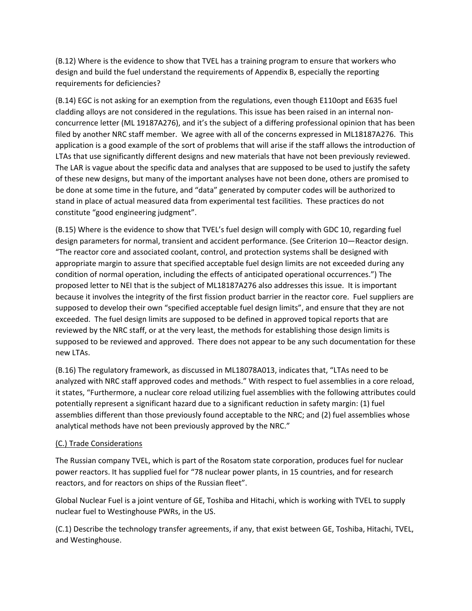(B.12) Where is the evidence to show that TVEL has a training program to ensure that workers who design and build the fuel understand the requirements of Appendix B, especially the reporting requirements for deficiencies?

(B.14) EGC is not asking for an exemption from the regulations, even though E110opt and E635 fuel cladding alloys are not considered in the regulations. This issue has been raised in an internal nonconcurrence letter (ML 19187A276), and it's the subject of a differing professional opinion that has been filed by another NRC staff member. We agree with all of the concerns expressed in ML18187A276. This application is a good example of the sort of problems that will arise if the staff allows the introduction of LTAs that use significantly different designs and new materials that have not been previously reviewed. The LAR is vague about the specific data and analyses that are supposed to be used to justify the safety of these new designs, but many of the important analyses have not been done, others are promised to be done at some time in the future, and "data" generated by computer codes will be authorized to stand in place of actual measured data from experimental test facilities. These practices do not constitute "good engineering judgment".

(B.15) Where is the evidence to show that TVEL's fuel design will comply with GDC 10, regarding fuel design parameters for normal, transient and accident performance. (See Criterion 10—Reactor design. "The reactor core and associated coolant, control, and protection systems shall be designed with appropriate margin to assure that specified acceptable fuel design limits are not exceeded during any condition of normal operation, including the effects of anticipated operational occurrences.") The proposed letter to NEI that is the subject of ML18187A276 also addresses this issue. It is important because it involves the integrity of the first fission product barrier in the reactor core. Fuel suppliers are supposed to develop their own "specified acceptable fuel design limits", and ensure that they are not exceeded. The fuel design limits are supposed to be defined in approved topical reports that are reviewed by the NRC staff, or at the very least, the methods for establishing those design limits is supposed to be reviewed and approved. There does not appear to be any such documentation for these new LTAs.

(B.16) The regulatory framework, as discussed in ML18078A013, indicates that, "LTAs need to be analyzed with NRC staff approved codes and methods." With respect to fuel assemblies in a core reload, it states, "Furthermore, a nuclear core reload utilizing fuel assemblies with the following attributes could potentially represent a significant hazard due to a significant reduction in safety margin: (1) fuel assemblies different than those previously found acceptable to the NRC; and (2) fuel assemblies whose analytical methods have not been previously approved by the NRC."

#### (C.) Trade Considerations

The Russian company TVEL, which is part of the Rosatom state corporation, produces fuel for nuclear power reactors. It has supplied fuel for "78 nuclear power plants, in 15 countries, and for research reactors, and for reactors on ships of the Russian fleet".

Global Nuclear Fuel is a joint venture of GE, Toshiba and Hitachi, which is working with TVEL to supply nuclear fuel to Westinghouse PWRs, in the US.

(C.1) Describe the technology transfer agreements, if any, that exist between GE, Toshiba, Hitachi, TVEL, and Westinghouse.